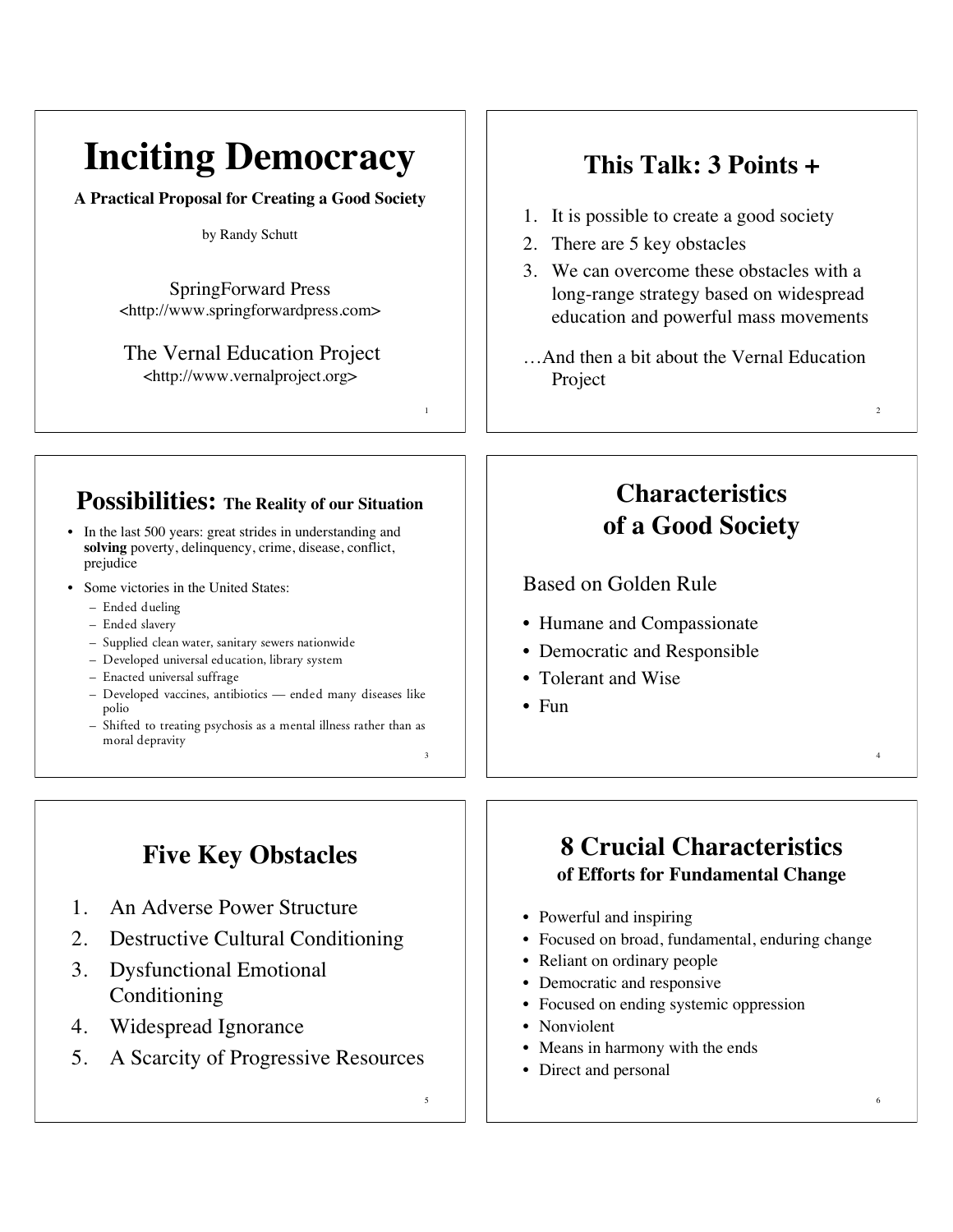# **Inciting Democracy**

**A Practical Proposal for Creating a Good Society**

#### by Randy Schutt

SpringForward Press <http://www.springforwardpress.com>

The Vernal Education Project <http://www.vernalproject.org>

#### **Possibilities: The Reality of our Situation**

- In the last 500 years: great strides in understanding and **solving** poverty, delinquency, crime, disease, conflict, prejudice
- Some victories in the United States:
	- Ended dueling
	- Ended slavery
	- Supplied clean water, sanitary sewers nationwide
	- Developed universal education, library system
	- Enacted universal suffrage
	- Developed vaccines, antibiotics ended many diseases like polio
	- 3 – Shifted to treating psychosis as a mental illness rather than as moral depravity

# **Five Key Obstacles**

- 1. An Adverse Power Structure
- 2. Destructive Cultural Conditioning
- 3. Dysfunctional Emotional Conditioning
- 4. Widespread Ignorance
- 5. A Scarcity of Progressive Resources

## **This Talk: 3 Points +**

- 1. It is possible to create a good society
- 2. There are 5 key obstacles
- 3. We can overcome these obstacles with a long-range strategy based on widespread education and powerful mass movements
- …And then a bit about the Vernal Education Project

2

4

6

### **Characteristics of a Good Society**

Based on Golden Rule

- Humane and Compassionate
- Democratic and Responsible
- Tolerant and Wise
- Fun

1

5

### **8 Crucial Characteristics of Efforts for Fundamental Change**

- Powerful and inspiring
- Focused on broad, fundamental, enduring change
- Reliant on ordinary people
- Democratic and responsive
- Focused on ending systemic oppression
- Nonviolent
- Means in harmony with the ends
- Direct and personal